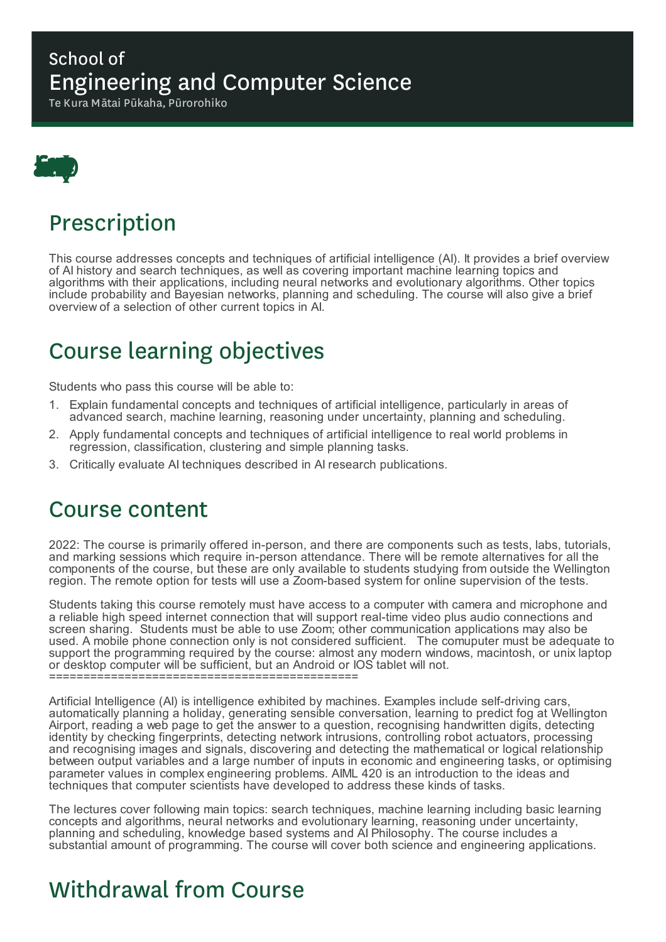### School of Engineering and Computer Science

Te Kura Mātai Pūkaha, Pūrorohiko



# Prescription

This course addresses concepts and techniques of artificial intelligence (AI). It provides a brief overview of AI history and search techniques, as well as covering important machine learning topics and algorithms with their applications, including neural networks and evolutionary algorithms. Other topics include probability and Bayesian networks, planning and scheduling. The course will also give a brief overview of a selection of other current topics in AI.

# Course learning objectives

Students who pass this course will be able to:

- 1. Explain fundamental concepts and techniques of artificial intelligence, particularly in areas of advanced search, machine learning, reasoning under uncertainty, planning and scheduling.
- 2. Apply fundamental concepts and techniques of artificial intelligence to real world problems in regression, classification, clustering and simple planning tasks.
- 3. Critically evaluate AI techniques described in AI research publications.

### Course content

2022: The course is primarily offered in-person, and there are components such as tests, labs, tutorials, and marking sessions which require in-person attendance. There will be remote alternatives for all the components of the course, but these are only available to students studying from outside the Wellington region. The remote option for tests will use a Zoom-based system for online supervision of the tests.

Students taking this course remotely must have access to a computer with camera and microphone and a reliable high speed internet connection that will support real-time video plus audio connections and screen sharing. Students must be able to use Zoom; other communication applications may also be used. A mobile phone connection only is not considered sufficient. The comuputer must be adequate to support the programming required by the course: almost any modern windows, macintosh, or unix laptop or desktop computer will be sufficient, but an Android or IOS tablet will not. =============================================

Artificial Intelligence (AI) is intelligence exhibited by machines. Examples include self-driving cars, automatically planning a holiday, generating sensible conversation, learning to predict fog at Wellington Airport, reading a web page to get the answer to a question, recognising handwritten digits, detecting identity by checking fingerprints, detecting network intrusions, controlling robot actuators, processing and recognising images and signals, discovering and detecting the mathematical or logical relationship between output variables and a large number of inputs in economic and engineering tasks, or optimising parameter values in complex engineering problems. AIML 420 is an introduction to the ideas and techniques that computer scientists have developed to address these kinds of tasks.

The lectures cover following main topics: search techniques, machine learning including basic learning concepts and algorithms, neural networks and evolutionary learning, reasoning under uncertainty, planning and scheduling, knowledge based systems and AI Philosophy. The course includes a substantial amount of programming. The course will cover both science and engineering applications.

# Withdrawal from Course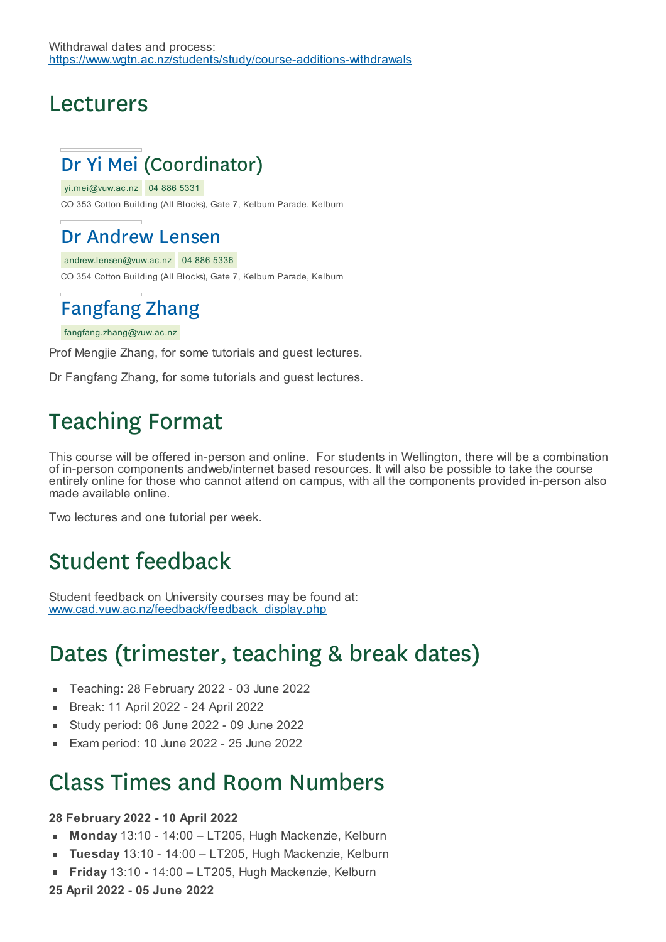Withdrawal dates and process: https://www.wgtn.ac.nz/students/study/course-additions-withdrawals

#### Lecturers

### Dr Yi Mei (Coordinator)

yi.mei@vuw.ac.nz 04 886 5331

CO 353 Cotton Building (All Blocks), Gate 7, Kelburn Parade, Kelburn

#### Dr Andrew Lensen

andrew.lensen@vuw.ac.nz 04 886 5336 CO 354 Cotton Building (All Blocks), Gate 7, Kelburn Parade, Kelburn

### Fangfang Zhang

fangfang.zhang@vuw.ac.nz

Prof Mengjie Zhang, for some tutorials and guest lectures.

Dr Fangfang Zhang, for some tutorials and guest lectures.

### Teaching Format

This course will be offered in-person and online. For students in Wellington, there will be a combination of in-person components andweb/internet based resources. It will also be possible to take the course entirely online for those who cannot attend on campus, with all the components provided in-person also made available online.

Two lectures and one tutorial per week.

### Student feedback

Student feedback on University courses may be found at: www.cad.vuw.ac.nz/feedback/feedback\_display.php

### Dates (trimester, teaching & break dates)

- Teaching: 28 February 2022 03 June 2022  $\blacksquare$
- Break: 11 April 2022 24 April 2022 à.
- Study period: 06 June 2022 09 June 2022
- Exam period: 10 June 2022 25 June 2022

### Class Times and Room Numbers

#### **28 February 2022 - 10 April 2022**

- $\blacksquare$ **Monday** 13:10 - 14:00 – LT205, Hugh Mackenzie, Kelburn
- **Tuesday** 13:10 14:00 LT205, Hugh Mackenzie, Kelburn
- **Friday** 13:10 14:00 LT205, Hugh Mackenzie, Kelburn
- **25 April 2022 - 05 June 2022**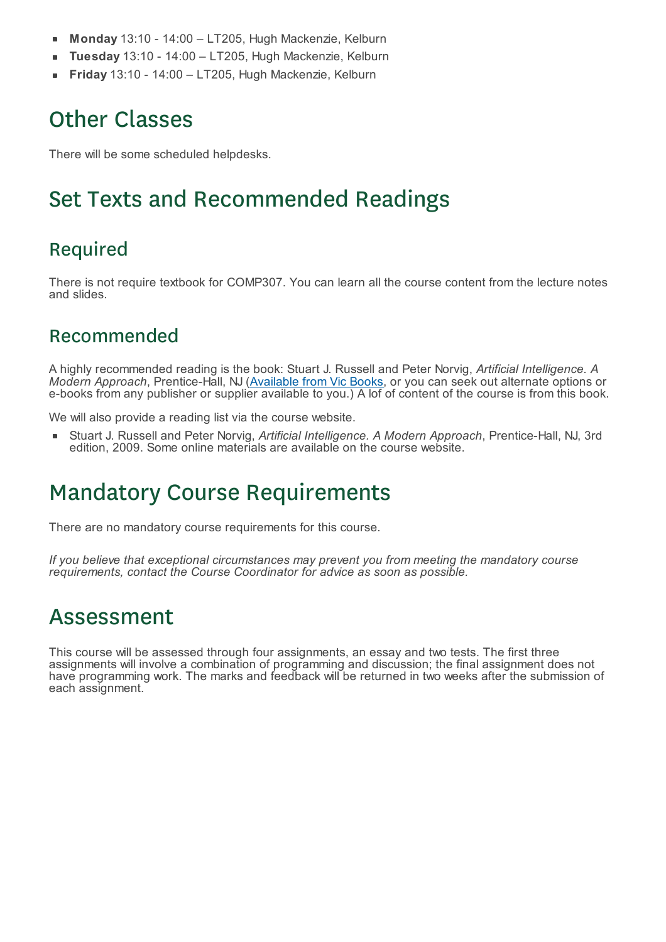- **Monday** 13:10 14:00 LT205, Hugh Mackenzie, Kelburn п
- **Tuesday** 13:10 14:00 LT205, Hugh Mackenzie, Kelburn
- **Friday** 13:10 14:00 LT205, Hugh Mackenzie, Kelburn

### Other Classes

There will be some scheduled helpdesks.

### Set Texts and Recommended Readings

#### Required

There is not require textbook for COMP307. You can learn all the course content from the lecture notes and slides.

#### Recommended

A highly recommended reading is the book: Stuart J. Russell and Peter Norvig, *Artificial Intelligence. A Modern Approach*, Prentice-Hall, NJ (Available from Vic Books, or you can seek out alternate options or e-books from any publisher or supplier available to you.) A lof of content of the course is from this book.

We will also provide a reading list via the course website.

Stuart J. Russell and Peter Norvig, *Artificial Intelligence. A Modern Approach*, Prentice-Hall, NJ, 3rd edition, 2009. Some online materials are available on the course website.

## Mandatory Course Requirements

There are no mandatory course requirements for this course.

*If you believe that exceptional circumstances may prevent you from meeting the mandatory course requirements, contact the Course Coordinator for advice as soon as possible.*

### Assessment

This course will be assessed through four assignments, an essay and two tests. The first three assignments will involve a combination of programming and discussion; the final assignment does not have programming work. The marks and feedback will be returned in two weeks after the submission of each assignment.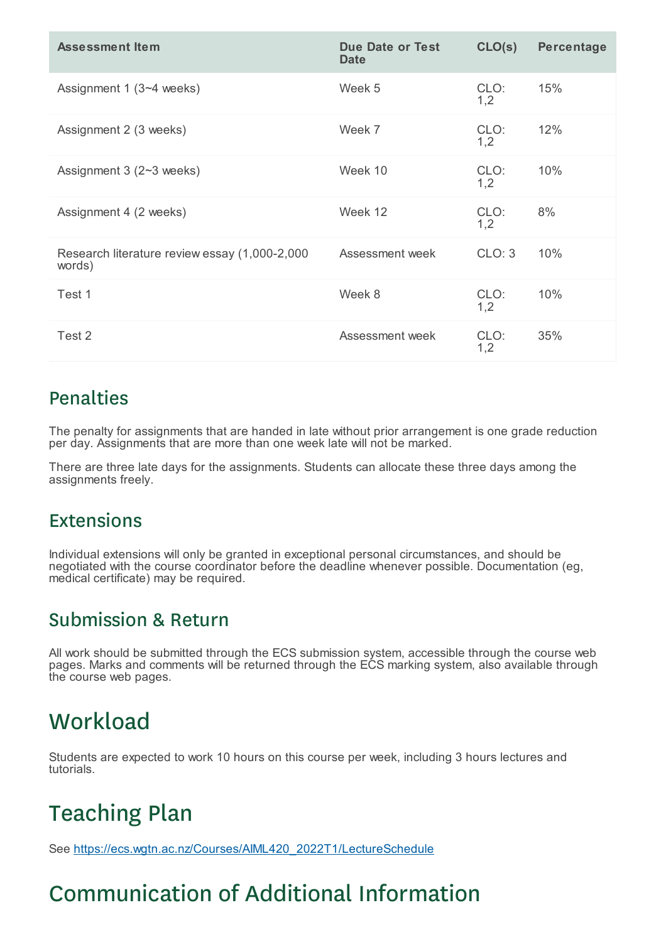| <b>Assessment Item</b>                                  | <b>Due Date or Test</b><br><b>Date</b> | CLO(s)      | Percentage |
|---------------------------------------------------------|----------------------------------------|-------------|------------|
| Assignment 1 (3~4 weeks)                                | Week 5                                 | CLO:<br>1,2 | 15%        |
| Assignment 2 (3 weeks)                                  | Week 7                                 | CLO:<br>1,2 | 12%        |
| Assignment $3(2-3$ weeks)                               | Week 10                                | CLO:<br>1,2 | 10%        |
| Assignment 4 (2 weeks)                                  | Week 12                                | CLO:<br>1,2 | 8%         |
| Research literature review essay (1,000-2,000<br>words) | Assessment week                        | CLO: 3      | 10%        |
| Test 1                                                  | Week 8                                 | CLO:<br>1,2 | 10%        |
| Test 2                                                  | Assessment week                        | CLO:<br>1,2 | 35%        |

#### Penalties

The penalty for assignments that are handed in late without prior arrangement is one grade reduction per day. Assignments that are more than one week late will not be marked.

There are three late days for the assignments. Students can allocate these three days among the assignments freely.

#### **Extensions**

Individual extensions will only be granted in exceptional personal circumstances, and should be negotiated with the course coordinator before the deadline whenever possible. Documentation (eg, medical certificate) may be required.

#### Submission & Return

All work should be submitted through the ECS submission system, accessible through the course web pages. Marks and comments will be returned through the ECS marking system, also available through the course web pages.

## **Workload**

Students are expected to work 10 hours on this course per week, including 3 hours lectures and tutorials.

# Teaching Plan

See https://ecs.wgtn.ac.nz/Courses/AIML420\_2022T1/LectureSchedule

# Communication of Additional Information